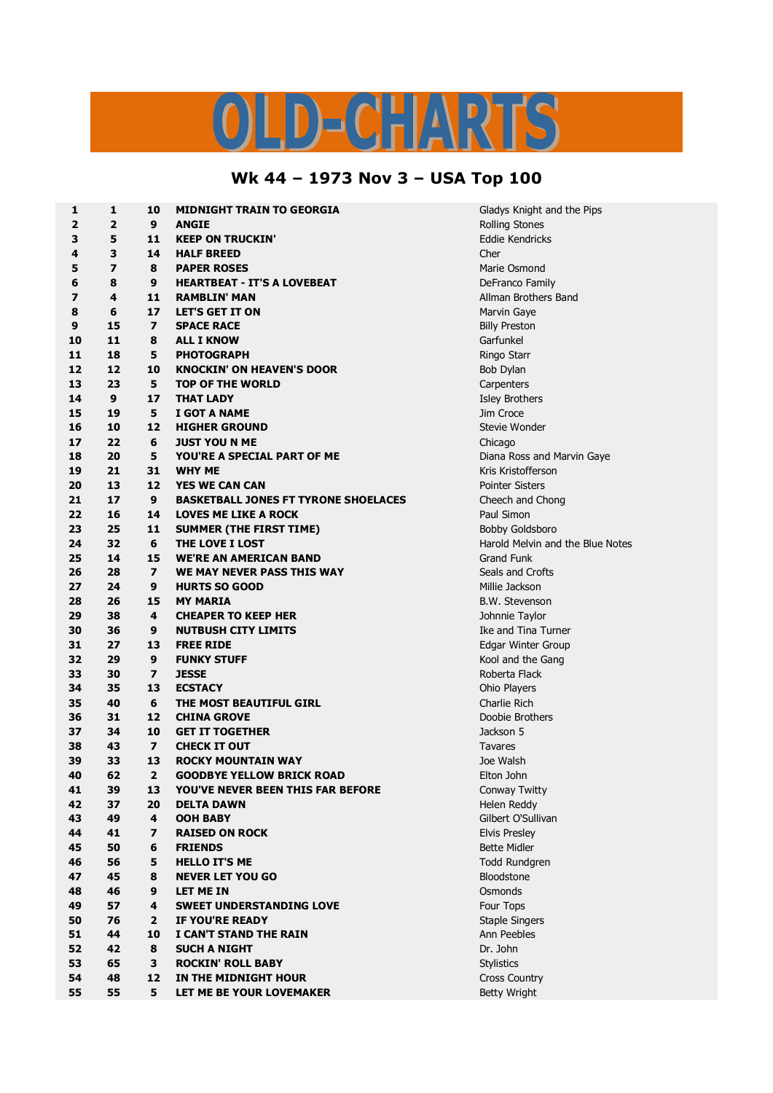## IS  $D = C \cdot \frac{1}{2} \sqrt{N^2}$

## **Wk 44 – 1973 Nov 3 – USA Top 100**

| 1                | 1                       | 10                      | <b>MIDNIGHT TRAIN TO GEORGIA</b>            | Gladys Knight and the Pips       |
|------------------|-------------------------|-------------------------|---------------------------------------------|----------------------------------|
| 2                | $\overline{2}$          | 9                       | <b>ANGIE</b>                                | <b>Rolling Stones</b>            |
| 3                | 5                       | 11                      | <b>KEEP ON TRUCKIN'</b>                     | Eddie Kendricks                  |
| 4                | 3                       | 14                      | <b>HALF BREED</b>                           | Cher                             |
| 5                | $\overline{\mathbf{z}}$ | 8                       | <b>PAPER ROSES</b>                          | Marie Osmond                     |
| 6                | 8                       | 9                       | <b>HEARTBEAT - IT'S A LOVEBEAT</b>          | DeFranco Family                  |
| 7                | 4                       | 11                      | <b>RAMBLIN' MAN</b>                         | Allman Brothers Band             |
| 8                | 6                       | 17                      | <b>LET'S GET IT ON</b>                      | Marvin Gaye                      |
| $\boldsymbol{9}$ | 15                      | $\overline{ }$          | <b>SPACE RACE</b>                           | <b>Billy Preston</b>             |
| 10               | 11                      | 8                       | <b>ALL I KNOW</b>                           | Garfunkel                        |
| 11               | 18                      | 5                       | <b>PHOTOGRAPH</b>                           | Ringo Starr                      |
| 12               | 12                      | 10                      | <b>KNOCKIN' ON HEAVEN'S DOOR</b>            | Bob Dylan                        |
| 13               | 23                      | 5                       | <b>TOP OF THE WORLD</b>                     | Carpenters                       |
| 14               | 9                       | 17                      | <b>THAT LADY</b>                            | <b>Isley Brothers</b>            |
| 15               | 19                      | 5                       | I GOT A NAME                                | Jim Croce                        |
| 16               | 10                      | 12                      | <b>HIGHER GROUND</b>                        | Stevie Wonder                    |
| 17               | 22                      | 6                       | <b>JUST YOU N ME</b>                        | Chicago                          |
| 18               | 20                      | 5                       | YOU'RE A SPECIAL PART OF ME                 | Diana Ross and Marvin Gaye       |
| 19               | 21                      | 31                      | <b>WHY ME</b>                               | Kris Kristofferson               |
| 20               | 13                      | 12                      | <b>YES WE CAN CAN</b>                       | <b>Pointer Sisters</b>           |
| 21               | 17                      | 9                       | <b>BASKETBALL JONES FT TYRONE SHOELACES</b> | Cheech and Chong                 |
| 22               | 16                      | 14                      | <b>LOVES ME LIKE A ROCK</b>                 | Paul Simon                       |
| 23               | 25                      | 11                      | <b>SUMMER (THE FIRST TIME)</b>              | <b>Bobby Goldsboro</b>           |
| 24               | 32                      | 6                       | THE LOVE I LOST                             | Harold Melvin and the Blue Notes |
| 25               | 14                      | 15                      | <b>WE'RE AN AMERICAN BAND</b>               | <b>Grand Funk</b>                |
| 26               | 28                      | $\overline{ }$          | WE MAY NEVER PASS THIS WAY                  | Seals and Crofts                 |
| 27               | 24                      | 9                       | <b>HURTS SO GOOD</b>                        | Millie Jackson                   |
| 28               | 26                      | 15                      | <b>MY MARIA</b>                             | <b>B.W. Stevenson</b>            |
| 29               | 38                      | 4                       | <b>CHEAPER TO KEEP HER</b>                  | Johnnie Taylor                   |
| 30               | 36                      | 9                       | <b>NUTBUSH CITY LIMITS</b>                  | Ike and Tina Turner              |
| 31               | 27                      | 13                      | <b>FREE RIDE</b>                            | Edgar Winter Group               |
| 32               | 29                      | 9                       | <b>FUNKY STUFF</b>                          | Kool and the Gang                |
| 33               | 30                      | $\overline{ }$          | <b>JESSE</b>                                | Roberta Flack                    |
| 34               | 35                      | 13                      | <b>ECSTACY</b>                              | Ohio Players                     |
| 35               | 40                      | 6                       | THE MOST BEAUTIFUL GIRL                     | Charlie Rich                     |
| 36               | 31                      | 12                      | <b>CHINA GROVE</b>                          | Doobie Brothers                  |
| 37               | 34                      | 10                      | <b>GET IT TOGETHER</b>                      | Jackson 5                        |
| 38               | 43                      | $\overline{ }$          | <b>CHECK IT OUT</b>                         | Tavares                          |
| 39               | 33                      | 13                      | <b>ROCKY MOUNTAIN WAY</b>                   | Joe Walsh                        |
| 40               | 62                      | $\overline{2}$          | <b>GOODBYE YELLOW BRICK ROAD</b>            | Elton John                       |
| 41               | 39                      | 13                      | YOU'VE NEVER BEEN THIS FAR BEFORE           | Conway Twitty                    |
| 42               | 37                      | 20                      | <b>DELTA DAWN</b>                           | Helen Reddy                      |
| 43               | 49                      | 4                       | <b>OOH BABY</b>                             | Gilbert O'Sullivan               |
| 44               | 41                      | $\overline{\mathbf{z}}$ | <b>RAISED ON ROCK</b>                       | <b>Elvis Presley</b>             |
| 45               | 50                      | 6                       | <b>FRIENDS</b>                              | <b>Bette Midler</b>              |
| 46               | 56                      | 5                       | <b>HELLO IT'S ME</b>                        | Todd Rundgren                    |
| 47               | 45                      | 8                       | <b>NEVER LET YOU GO</b>                     | Bloodstone                       |
| 48               | 46                      | 9                       | LET ME IN                                   | Osmonds                          |
| 49               | 57                      | 4                       | <b>SWEET UNDERSTANDING LOVE</b>             | Four Tops                        |
| 50               | 76                      | $\mathbf{2}$            | <b>IF YOU'RE READY</b>                      | <b>Staple Singers</b>            |
| 51               | 44                      | 10                      | I CAN'T STAND THE RAIN                      | Ann Peebles                      |
| 52               | 42                      | 8                       | <b>SUCH A NIGHT</b>                         | Dr. John                         |
| 53               | 65                      | 3                       | <b>ROCKIN' ROLL BABY</b>                    | <b>Stylistics</b>                |
| 54               | 48                      | 12                      | IN THE MIDNIGHT HOUR                        | <b>Cross Country</b>             |
| 55               | 55                      | 5                       | LET ME BE YOUR LOVEMAKER                    | <b>Betty Wright</b>              |
|                  |                         |                         |                                             |                                  |